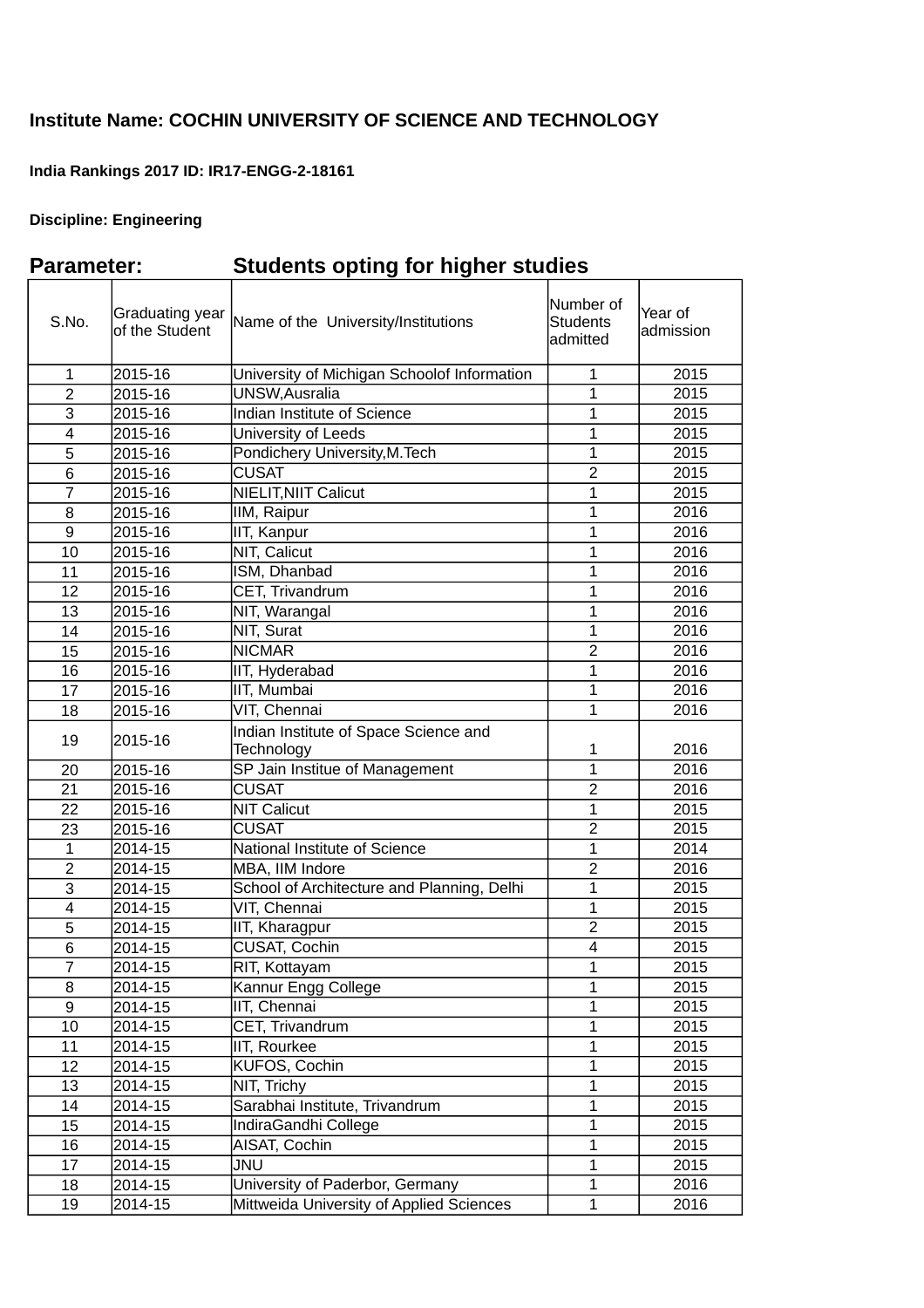## **Institute Name: COCHIN UNIVERSITY OF SCIENCE AND TECHNOLOGY**

## **India Rankings 2017 ID: IR17-ENGG-2-18161**

## **Discipline: Engineering**

## **Parameter: Students opting for higher studies**

| S.No.          | Graduating year<br>of the Student | Name of the University/Institutions                 | Number of<br><b>Students</b><br>admitted | Year of<br>admission |
|----------------|-----------------------------------|-----------------------------------------------------|------------------------------------------|----------------------|
| $\mathbf 1$    | 2015-16                           | University of Michigan Schoolof Information         | $\mathbf{1}$                             | 2015                 |
| $\overline{c}$ | 2015-16                           | UNSW, Ausralia                                      | $\mathbf{1}$                             | 2015                 |
| 3              | 2015-16                           | <b>Indian Institute of Science</b>                  | $\mathbf{1}$                             | 2015                 |
| 4              | 2015-16                           | University of Leeds                                 | $\mathbf 1$                              | 2015                 |
| 5              | 2015-16                           | Pondichery University, M. Tech                      | $\mathbf{1}$                             | 2015                 |
| 6              | 2015-16                           | <b>CUSAT</b>                                        | $\overline{2}$                           | 2015                 |
| $\overline{7}$ | 2015-16                           | NIELIT, NIIT Calicut                                | $\overline{1}$                           | 2015                 |
| 8              | 2015-16                           | IIM, Raipur                                         | $\mathbf{1}$                             | 2016                 |
| 9              | 2015-16                           | IIT, Kanpur                                         | $\mathbf{1}$                             | 2016                 |
| 10             | 2015-16                           | NIT, Calicut                                        | $\mathbf{1}$                             | 2016                 |
| 11             | 2015-16                           | ISM, Dhanbad                                        | $\mathbf{1}$                             | 2016                 |
| 12             | 2015-16                           | CET, Trivandrum                                     | $\mathbf 1$                              | 2016                 |
| 13             | 2015-16                           | NIT, Warangal                                       | $\mathbf{1}$                             | 2016                 |
| 14             | 2015-16                           | NIT, Surat                                          | $\mathbf{1}$                             | 2016                 |
| 15             | 2015-16                           | <b>NICMAR</b>                                       | $\overline{2}$                           | 2016                 |
| 16             | 2015-16                           | IIT, Hyderabad                                      | $\overline{1}$                           | 2016                 |
| 17             | 2015-16                           | IIT, Mumbai                                         | $\mathbf{1}$                             | 2016                 |
| 18             | 2015-16                           | VIT, Chennai                                        | $\mathbf{1}$                             | 2016                 |
| 19             | 2015-16                           | Indian Institute of Space Science and<br>Technology | 1                                        | 2016                 |
| 20             | 2015-16                           | SP Jain Institue of Management                      | $\overline{1}$                           | 2016                 |
| 21             | $2015 - 16$                       | <b>CUSAT</b>                                        | $\overline{2}$                           | 2016                 |
| 22             | 2015-16                           | <b>NIT Calicut</b>                                  | $\overline{1}$                           | 2015                 |
| 23             | 2015-16                           | <b>CUSAT</b>                                        | $\overline{2}$                           | 2015                 |
| $\mathbf 1$    | 2014-15                           | National Institute of Science                       | $\overline{1}$                           | 2014                 |
| $\overline{c}$ | 2014-15                           | MBA, IIM Indore                                     | $\overline{2}$                           | 2016                 |
| 3              | 2014-15                           | School of Architecture and Planning, Delhi          | $\mathbf 1$                              | 2015                 |
| $\overline{4}$ | 2014-15                           | VIT, Chennai                                        | $\mathbf 1$                              | 2015                 |
| 5              | 2014-15                           | IIT, Kharagpur                                      | $\overline{2}$                           | 2015                 |
| 6              | 2014-15                           | <b>CUSAT, Cochin</b>                                | $\overline{4}$                           | 2015                 |
| $\overline{7}$ | 2014-15                           | RIT, Kottayam                                       | $\mathbf{1}$                             | 2015                 |
| $\overline{8}$ | 2014-15                           | Kannur Engg College                                 | $\overline{1}$                           | 2015                 |
| 9              | 2014-15                           | IIT, Chennai                                        | $\mathbf{1}$                             | 2015                 |
| 10             | 2014-15                           | CET, Trivandrum                                     | $\mathbf 1$                              | 2015                 |
| 11             | 2014-15                           | IIT, Rourkee                                        | $\mathbf{1}$                             | 2015                 |
| 12             | 2014-15                           | KUFOS, Cochin                                       | $\mathbf 1$                              | 2015                 |
| 13             | 2014-15                           | NIT, Trichy                                         | $\mathbf 1$                              | 2015                 |
| 14             | 2014-15                           | Sarabhai Institute, Trivandrum                      | $\mathbf{1}$                             | 2015                 |
| 15             | 2014-15                           | IndiraGandhi College                                | $\mathbf{1}$                             | 2015                 |
| 16             | 2014-15                           | AISAT, Cochin                                       | $\overline{1}$                           | 2015                 |
| 17             | 2014-15                           | <b>JNU</b>                                          | $\mathbf 1$                              | 2015                 |
| 18             | 2014-15                           | University of Paderbor, Germany                     | $\mathbf{1}$                             | 2016                 |
| 19             | 2014-15                           | Mittweida University of Applied Sciences            | $\mathbf{1}$                             | 2016                 |